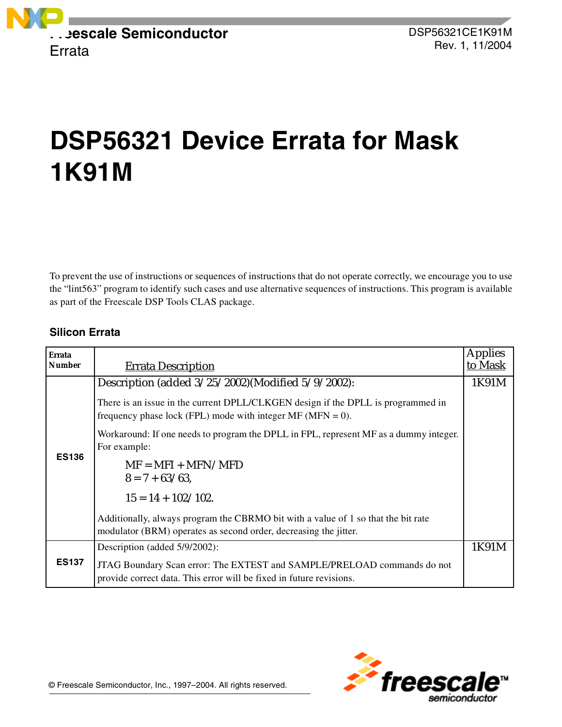

# **DSP56321 Device Errata for Mask 1K91M**

To prevent the use of instructions or sequences of instructions that do not operate correctly, we encourage you to use the "lint563" program to identify such cases and use alternative sequences of instructions. This program is available as part of the Freescale DSP Tools CLAS package.

## **Silicon Errata**

| Errata<br><b>Number</b> | <b>Errata Description</b>                                                                                                                             | Applies<br>to Mask |
|-------------------------|-------------------------------------------------------------------------------------------------------------------------------------------------------|--------------------|
|                         | Description (added 3/25/2002)(Modified 5/9/2002):                                                                                                     | 1K91M              |
|                         | There is an issue in the current DPLL/CLKGEN design if the DPLL is programmed in<br>frequency phase lock (FPL) mode with integer MF (MFN = 0).        |                    |
|                         | Workaround: If one needs to program the DPLL in FPL, represent MF as a dummy integer.<br>For example:                                                 |                    |
| <b>ES136</b>            | $MF = MFI + MFN/MFD$<br>$8 = 7 + 63/63$ .                                                                                                             |                    |
|                         | $15 = 14 + 102/102$ .                                                                                                                                 |                    |
|                         | Additionally, always program the CBRMO bit with a value of 1 so that the bit rate<br>modulator (BRM) operates as second order, decreasing the jitter. |                    |
|                         | Description (added 5/9/2002):                                                                                                                         | 1K91M              |
| <b>ES137</b>            | JTAG Boundary Scan error: The EXTEST and SAMPLE/PRELOAD commands do not<br>provide correct data. This error will be fixed in future revisions.        |                    |

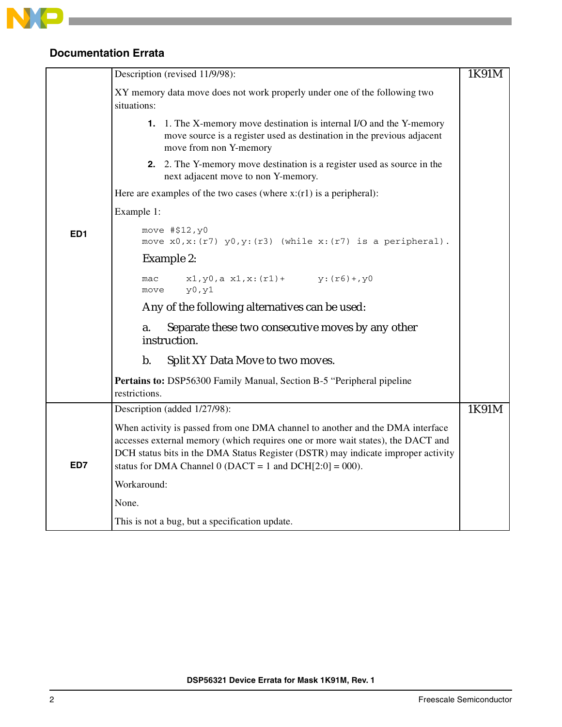

# **Documentation Errata**

|                 | Description (revised 11/9/98):                                                                                                                                                                                                                                                                                        | 1K91M |
|-----------------|-----------------------------------------------------------------------------------------------------------------------------------------------------------------------------------------------------------------------------------------------------------------------------------------------------------------------|-------|
|                 | XY memory data move does not work properly under one of the following two<br>situations:                                                                                                                                                                                                                              |       |
|                 | 1. 1. The X-memory move destination is internal I/O and the Y-memory<br>move source is a register used as destination in the previous adjacent<br>move from non Y-memory                                                                                                                                              |       |
|                 | 2. 2. The Y-memory move destination is a register used as source in the<br>next adjacent move to non Y-memory.                                                                                                                                                                                                        |       |
|                 | Here are examples of the two cases (where $x:(r1)$ is a peripheral):                                                                                                                                                                                                                                                  |       |
|                 | Example 1:                                                                                                                                                                                                                                                                                                            |       |
| ED <sub>1</sub> | move #\$12, y0<br>move $x0, x: (r7)$ $y0, y: (r3)$ (while $x: (r7)$ is a peripheral).                                                                                                                                                                                                                                 |       |
|                 | <b>Example 2:</b>                                                                                                                                                                                                                                                                                                     |       |
|                 | $x1, y0, a x1, x: (r1)+ y: (r6) + y0$<br>mac<br>y0, y1<br>move                                                                                                                                                                                                                                                        |       |
|                 | Any of the following alternatives can be used:                                                                                                                                                                                                                                                                        |       |
|                 | Separate these two consecutive moves by any other<br>a.<br>instruction.                                                                                                                                                                                                                                               |       |
|                 | $\mathbf{b}$ .<br>Split XY Data Move to two moves.                                                                                                                                                                                                                                                                    |       |
|                 | <b>Pertains to:</b> DSP56300 Family Manual, Section B-5 "Peripheral pipeline<br>restrictions.                                                                                                                                                                                                                         |       |
|                 | Description (added 1/27/98):                                                                                                                                                                                                                                                                                          | 1K91M |
| ED7             | When activity is passed from one DMA channel to another and the DMA interface<br>accesses external memory (which requires one or more wait states), the DACT and<br>DCH status bits in the DMA Status Register (DSTR) may indicate improper activity<br>status for DMA Channel $0$ (DACT = 1 and DCH $[2:0] = 000$ ). |       |
|                 | Workaround:                                                                                                                                                                                                                                                                                                           |       |
|                 | None.                                                                                                                                                                                                                                                                                                                 |       |
|                 | This is not a bug, but a specification update.                                                                                                                                                                                                                                                                        |       |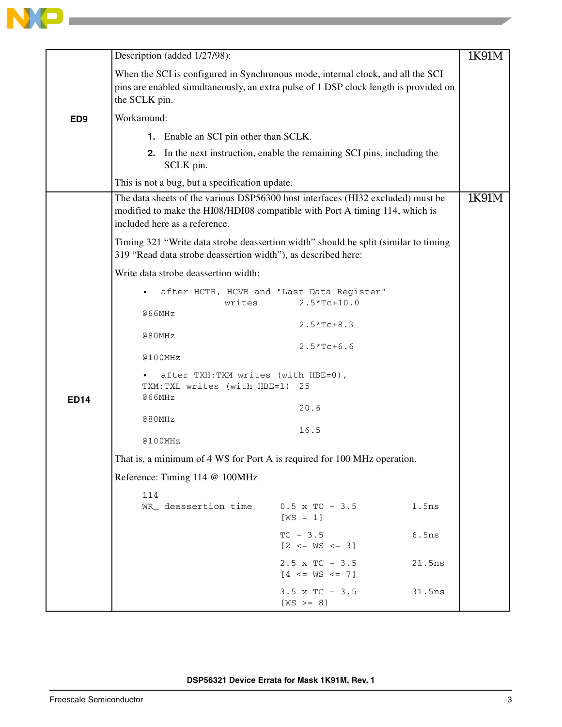

|                 | Description (added 1/27/98):                                                                                                                                                                    | 1K91M |
|-----------------|-------------------------------------------------------------------------------------------------------------------------------------------------------------------------------------------------|-------|
|                 | When the SCI is configured in Synchronous mode, internal clock, and all the SCI<br>pins are enabled simultaneously, an extra pulse of 1 DSP clock length is provided on<br>the SCLK pin.        |       |
| ED <sub>9</sub> | Workaround:                                                                                                                                                                                     |       |
|                 | 1. Enable an SCI pin other than SCLK.                                                                                                                                                           |       |
|                 | <b>2.</b> In the next instruction, enable the remaining SCI pins, including the<br>SCLK pin.                                                                                                    |       |
|                 | This is not a bug, but a specification update.                                                                                                                                                  |       |
|                 | The data sheets of the various DSP56300 host interfaces (HI32 excluded) must be<br>modified to make the HI08/HDI08 compatible with Port A timing 114, which is<br>included here as a reference. | 1K91M |
|                 | Timing 321 "Write data strobe deassertion width" should be split (similar to timing<br>319 "Read data strobe deassertion width"), as described here:                                            |       |
|                 | Write data strobe deassertion width:                                                                                                                                                            |       |
|                 | after HCTR, HCVR and "Last Data Register"<br>writes<br>$2.5*Tc+10.0$                                                                                                                            |       |
|                 | @66MHz<br>$2.5*Tc+8.3$                                                                                                                                                                          |       |
|                 | @80MHz<br>$2.5*Tc+6.6$                                                                                                                                                                          |       |
|                 | @100MHz                                                                                                                                                                                         |       |
|                 | after TXH: TXM writes (with HBE=0),<br>TXM: TXL writes (with HBE=1)<br>25<br>@66MHz                                                                                                             |       |
| <b>ED14</b>     | 20.6                                                                                                                                                                                            |       |
|                 | @80MHz<br>16.5                                                                                                                                                                                  |       |
|                 | @100MHz                                                                                                                                                                                         |       |
|                 | That is, a minimum of 4 WS for Port A is required for 100 MHz operation.                                                                                                                        |       |
|                 | Reference: Timing 114 @ 100MHz                                                                                                                                                                  |       |
|                 | 114<br>WR_ deassertion time<br>$0.5 \times TC - 3.5$<br>1.5ns<br>$[WS = 1]$                                                                                                                     |       |
|                 | $TC - 3.5$<br>6.5ns<br>$[2 \leq wS \leq 3]$                                                                                                                                                     |       |
|                 | $2.5 \times TC - 3.5$<br>21.5ns<br>$[4 \le$ WS $\le$ 7]                                                                                                                                         |       |
|                 | 31.5ns<br>$3.5 \times TC - 3.5$<br>$[WS > = 8]$                                                                                                                                                 |       |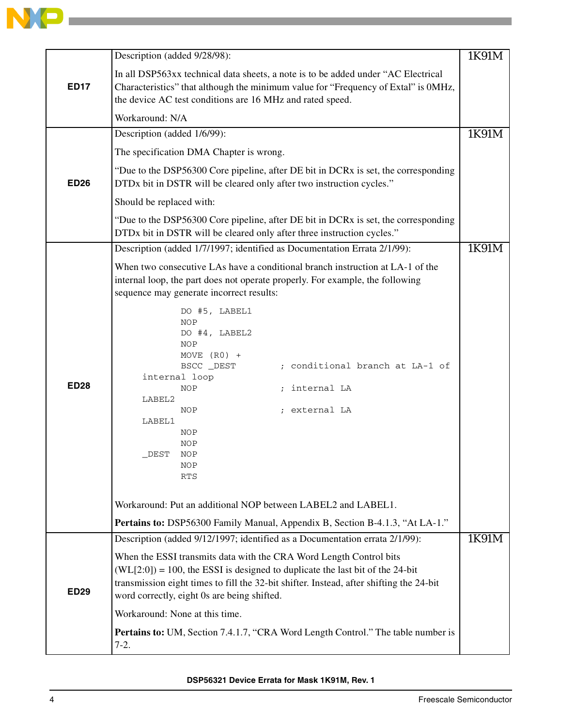

|             | Description (added 9/28/98):                                                                                                                                                                                                                                                                                                                                                                                      | 1K91M |
|-------------|-------------------------------------------------------------------------------------------------------------------------------------------------------------------------------------------------------------------------------------------------------------------------------------------------------------------------------------------------------------------------------------------------------------------|-------|
| <b>ED17</b> | In all DSP563xx technical data sheets, a note is to be added under "AC Electrical<br>Characteristics" that although the minimum value for "Frequency of Extal" is 0MHz,<br>the device AC test conditions are 16 MHz and rated speed.                                                                                                                                                                              |       |
|             | Workaround: N/A                                                                                                                                                                                                                                                                                                                                                                                                   |       |
|             | Description (added 1/6/99):                                                                                                                                                                                                                                                                                                                                                                                       | 1K91M |
|             | The specification DMA Chapter is wrong.                                                                                                                                                                                                                                                                                                                                                                           |       |
| <b>ED26</b> | "Due to the DSP56300 Core pipeline, after DE bit in DCRx is set, the corresponding<br>DTDx bit in DSTR will be cleared only after two instruction cycles."                                                                                                                                                                                                                                                        |       |
|             | Should be replaced with:                                                                                                                                                                                                                                                                                                                                                                                          |       |
|             | "Due to the DSP56300 Core pipeline, after DE bit in DCRx is set, the corresponding<br>DTDx bit in DSTR will be cleared only after three instruction cycles."                                                                                                                                                                                                                                                      |       |
|             | Description (added 1/7/1997; identified as Documentation Errata 2/1/99):                                                                                                                                                                                                                                                                                                                                          | 1K91M |
|             | When two consecutive LAs have a conditional branch instruction at LA-1 of the<br>internal loop, the part does not operate properly. For example, the following<br>sequence may generate incorrect results:                                                                                                                                                                                                        |       |
| <b>ED28</b> | DO #5, LABEL1<br><b>NOP</b><br>DO #4, LABEL2<br><b>NOP</b><br>MOVE $(R0)$ +<br>; conditional branch at LA-1 of<br>BSCC _DEST<br>internal loop<br>internal LA<br><b>NOP</b><br>LABEL2<br><b>NOP</b><br>; external LA<br>LABEL1<br><b>NOP</b><br>NOP<br>$\rule{0pt}{0pt}$ DEST<br><b>NOP</b><br>NOP<br><b>RTS</b>                                                                                                   |       |
|             | Workaround: Put an additional NOP between LABEL2 and LABEL1.                                                                                                                                                                                                                                                                                                                                                      |       |
|             | <b>Pertains to:</b> DSP56300 Family Manual, Appendix B, Section B-4.1.3, "At LA-1."                                                                                                                                                                                                                                                                                                                               |       |
| <b>ED29</b> | Description (added 9/12/1997; identified as a Documentation errata 2/1/99):<br>When the ESSI transmits data with the CRA Word Length Control bits<br>$(WL[2:0]) = 100$ , the ESSI is designed to duplicate the last bit of the 24-bit<br>transmission eight times to fill the 32-bit shifter. Instead, after shifting the 24-bit<br>word correctly, eight 0s are being shifted.<br>Workaround: None at this time. | 1K91M |
|             | <b>Pertains to:</b> UM, Section 7.4.1.7, "CRA Word Length Control." The table number is<br>$7-2.$                                                                                                                                                                                                                                                                                                                 |       |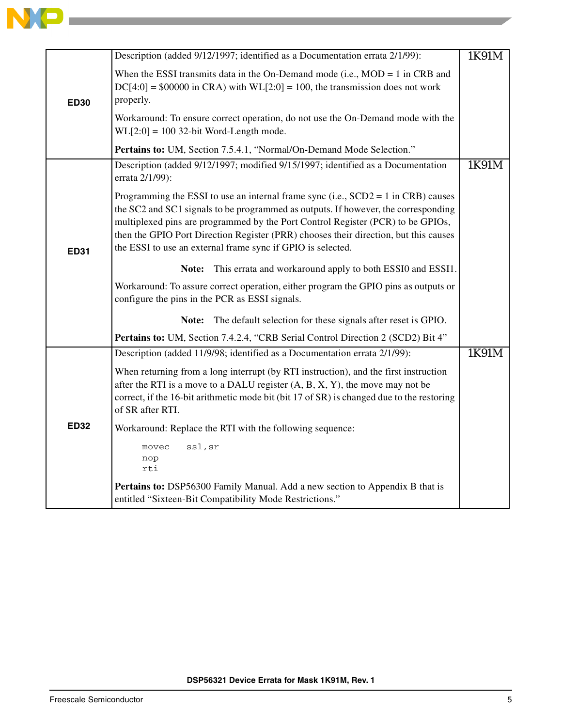

**Contract** 

|             | Description (added 9/12/1997; identified as a Documentation errata 2/1/99):                                                                                                                                                                                                                                                                                                                                         | 1K91M |
|-------------|---------------------------------------------------------------------------------------------------------------------------------------------------------------------------------------------------------------------------------------------------------------------------------------------------------------------------------------------------------------------------------------------------------------------|-------|
| <b>ED30</b> | When the ESSI transmits data in the On-Demand mode (i.e., $MOD = 1$ in CRB and<br>$DC[4:0] = $00000$ in CRA) with WL $[2:0] = 100$ , the transmission does not work<br>properly.                                                                                                                                                                                                                                    |       |
|             | Workaround: To ensure correct operation, do not use the On-Demand mode with the<br>$WL[2:0] = 100$ 32-bit Word-Length mode.                                                                                                                                                                                                                                                                                         |       |
|             | Pertains to: UM, Section 7.5.4.1, "Normal/On-Demand Mode Selection."                                                                                                                                                                                                                                                                                                                                                |       |
|             | Description (added 9/12/1997; modified 9/15/1997; identified as a Documentation<br>errata 2/1/99):                                                                                                                                                                                                                                                                                                                  | 1K91M |
| <b>ED31</b> | Programming the ESSI to use an internal frame sync (i.e., $SCD2 = 1$ in CRB) causes<br>the SC2 and SC1 signals to be programmed as outputs. If however, the corresponding<br>multiplexed pins are programmed by the Port Control Register (PCR) to be GPIOs,<br>then the GPIO Port Direction Register (PRR) chooses their direction, but this causes<br>the ESSI to use an external frame sync if GPIO is selected. |       |
|             | Note:<br>This errata and workaround apply to both ESSI0 and ESSI1.                                                                                                                                                                                                                                                                                                                                                  |       |
|             | Workaround: To assure correct operation, either program the GPIO pins as outputs or<br>configure the pins in the PCR as ESSI signals.                                                                                                                                                                                                                                                                               |       |
|             | The default selection for these signals after reset is GPIO.<br>Note:                                                                                                                                                                                                                                                                                                                                               |       |
|             | Pertains to: UM, Section 7.4.2.4, "CRB Serial Control Direction 2 (SCD2) Bit 4"                                                                                                                                                                                                                                                                                                                                     |       |
|             | Description (added 11/9/98; identified as a Documentation errata 2/1/99):                                                                                                                                                                                                                                                                                                                                           | 1K91M |
|             | When returning from a long interrupt (by RTI instruction), and the first instruction<br>after the RTI is a move to a DALU register $(A, B, X, Y)$ , the move may not be<br>correct, if the 16-bit arithmetic mode bit (bit 17 of SR) is changed due to the restoring<br>of SR after RTI.                                                                                                                            |       |
| <b>ED32</b> | Workaround: Replace the RTI with the following sequence:                                                                                                                                                                                                                                                                                                                                                            |       |
|             | ssl, sr<br>movec<br>nop<br>rti                                                                                                                                                                                                                                                                                                                                                                                      |       |
|             | Pertains to: DSP56300 Family Manual. Add a new section to Appendix B that is<br>entitled "Sixteen-Bit Compatibility Mode Restrictions."                                                                                                                                                                                                                                                                             |       |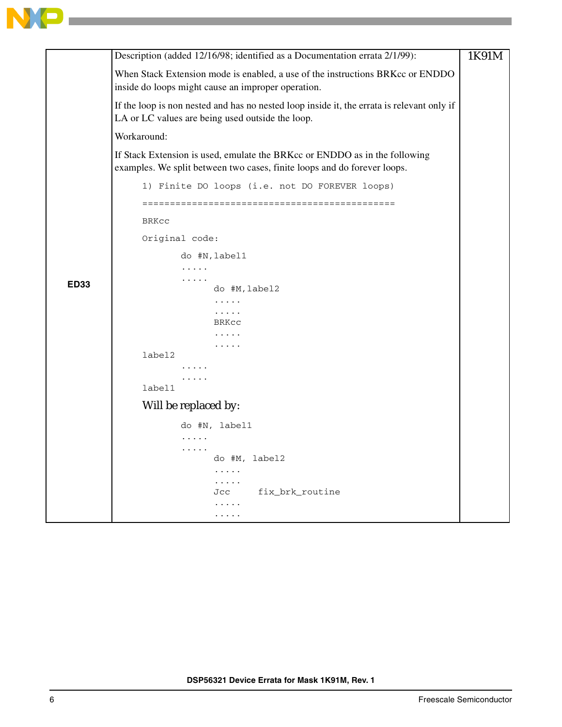

|             | Description (added 12/16/98; identified as a Documentation errata 2/1/99):                                                                             | 1K91M |
|-------------|--------------------------------------------------------------------------------------------------------------------------------------------------------|-------|
|             | When Stack Extension mode is enabled, a use of the instructions BRKcc or ENDDO<br>inside do loops might cause an improper operation.                   |       |
|             | If the loop is non nested and has no nested loop inside it, the errata is relevant only if<br>LA or LC values are being used outside the loop.         |       |
|             | Workaround:                                                                                                                                            |       |
|             | If Stack Extension is used, emulate the BRKcc or ENDDO as in the following<br>examples. We split between two cases, finite loops and do forever loops. |       |
|             | 1) Finite DO loops (i.e. not DO FOREVER loops)                                                                                                         |       |
|             |                                                                                                                                                        |       |
|             | <b>BRKCC</b>                                                                                                                                           |       |
|             | Original code:                                                                                                                                         |       |
|             | do #N, label1                                                                                                                                          |       |
|             |                                                                                                                                                        |       |
| <b>ED33</b> | .<br>do #M, label2                                                                                                                                     |       |
|             | $\cdots$                                                                                                                                               |       |
|             | $\cdots$                                                                                                                                               |       |
|             | BRKCC                                                                                                                                                  |       |
|             |                                                                                                                                                        |       |
|             | label2                                                                                                                                                 |       |
|             |                                                                                                                                                        |       |
|             |                                                                                                                                                        |       |
|             | label1                                                                                                                                                 |       |
|             | Will be replaced by:                                                                                                                                   |       |
|             | do #N, label1                                                                                                                                          |       |
|             |                                                                                                                                                        |       |
|             | .<br>do #M, label2                                                                                                                                     |       |
|             |                                                                                                                                                        |       |
|             |                                                                                                                                                        |       |
|             | fix_brk_routine<br>Jcc                                                                                                                                 |       |
|             | .                                                                                                                                                      |       |
|             | $\cdots$                                                                                                                                               |       |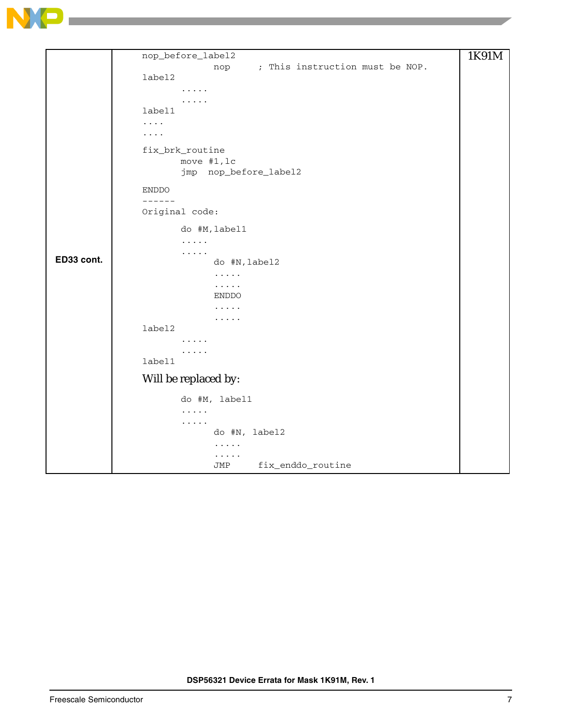

```
ED33 cont.
    nop_before_label2
                 nop ; This instruction must be NOP.
    label2
           .....
           .....
    label1
    ....
    ....
    fix_brk_routine
           move #1,lc
           jmp nop_before_label2
    ENDDO
    ------
    Original code:
           do #M,label1
           .....
           .....
                 do #N,label2
                 .....
                 .....
                 ENDDO
                 .....
                 .....
    label2
           .....
           .....
    label1
    Will be replaced by:
           do #M, label1
           .....
           .....
                 do #N, label2
                 .....
                 .....
                 JMP fix_enddo_routine
                                                                1K91M
```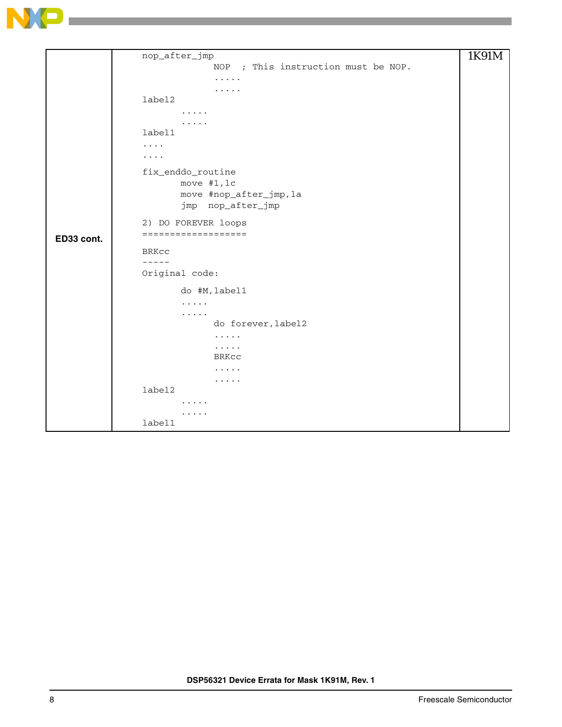

```
ED33 cont.
    nop_after_jmp
                 NOP ; This instruction must be NOP.
                 .....
                  .....
    label2
           .....
           .....
    label1
    ....
    ....
    fix_enddo_routine
           move #1,lc
           move #nop_after_jmp,la
           jmp nop_after_jmp
    2) DO FOREVER loops
    ===================
    BRKcc
    -----
    Original code:
           do #M,label1
           .....
           .....
                 do forever,label2
                 .....
                 .....
                 BRKcc
                 .....
                 .....
    label2
           .....
           .....
    label1
                                                                 1K91M
```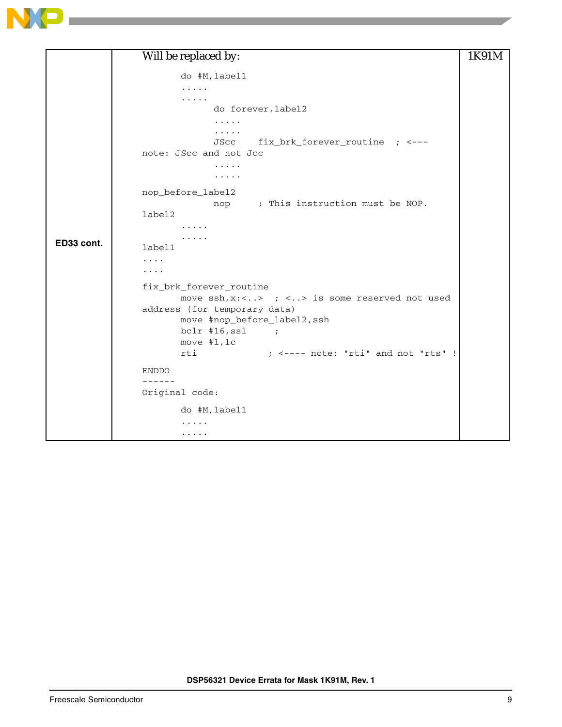

|            | Will be replaced by:                                            | 1K91M |
|------------|-----------------------------------------------------------------|-------|
|            | do #M, label1                                                   |       |
|            | .                                                               |       |
|            | .<br>do forever, label2                                         |       |
|            | $\cdots$                                                        |       |
|            | .                                                               |       |
|            | fix_brk_forever_routine ; <---<br>JScc                          |       |
|            | note: JScc and not Jcc                                          |       |
|            | .<br>$\cdots$                                                   |       |
|            | nop_before_label2                                               |       |
|            | nop ; This instruction must be NOP.                             |       |
|            | label2                                                          |       |
|            | .                                                               |       |
| ED33 cont. | .<br>label1                                                     |       |
|            | .                                                               |       |
|            | .                                                               |       |
|            | fix_brk_forever_routine                                         |       |
|            | move $\operatorname{ssh}$ , x:<> ; <> is some reserved not used |       |
|            | address (for temporary data)                                    |       |
|            | move #nop_before_label2, ssh<br>$bc1r$ #16, ssl ;               |       |
|            | move $#1, 1c$                                                   |       |
|            | rti                                                             |       |
|            | <b>ENDDO</b>                                                    |       |
|            | ------                                                          |       |
|            | Original code:                                                  |       |
|            | do #M, label1                                                   |       |
|            | .                                                               |       |
|            | .                                                               |       |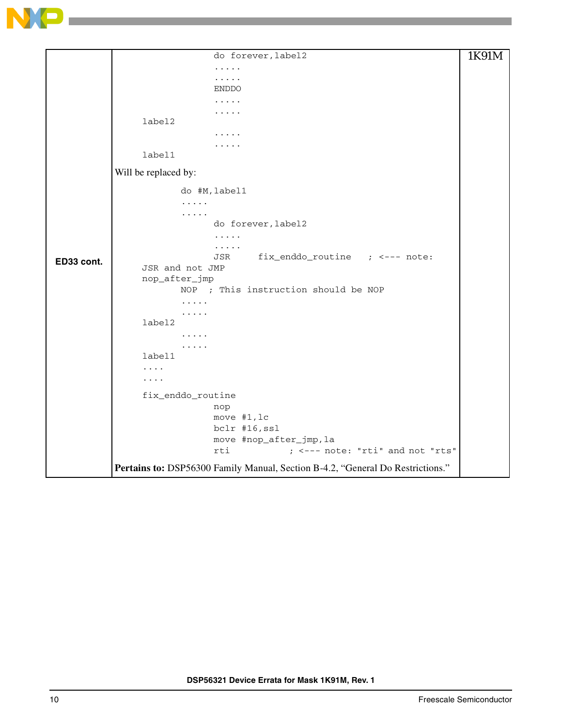

|            | do forever, label2                                                             | 1K91M |
|------------|--------------------------------------------------------------------------------|-------|
|            |                                                                                |       |
|            | .                                                                              |       |
|            | <b>ENDDO</b>                                                                   |       |
|            | .<br>.                                                                         |       |
|            | label2                                                                         |       |
|            | .                                                                              |       |
|            | .                                                                              |       |
|            | label1                                                                         |       |
|            | Will be replaced by:                                                           |       |
|            | do #M, label1                                                                  |       |
|            | .                                                                              |       |
|            | .                                                                              |       |
|            | do forever, label2<br>.                                                        |       |
|            | .                                                                              |       |
| ED33 cont. | fix_enddo_routine ; <--- note:<br>JSR                                          |       |
|            | JSR and not JMP                                                                |       |
|            | nop_after_jmp<br>NOP ; This instruction should be NOP                          |       |
|            |                                                                                |       |
|            |                                                                                |       |
|            | label2                                                                         |       |
|            |                                                                                |       |
|            | label1                                                                         |       |
|            |                                                                                |       |
|            | .                                                                              |       |
|            | fix_enddo_routine                                                              |       |
|            | nop                                                                            |       |
|            | move #1, lc                                                                    |       |
|            | bclr #16, ssl                                                                  |       |
|            | move #nop_after_jmp, la<br>; <--- note: "rti" and not "rts"<br>rti             |       |
|            |                                                                                |       |
|            | Pertains to: DSP56300 Family Manual, Section B-4.2, "General Do Restrictions." |       |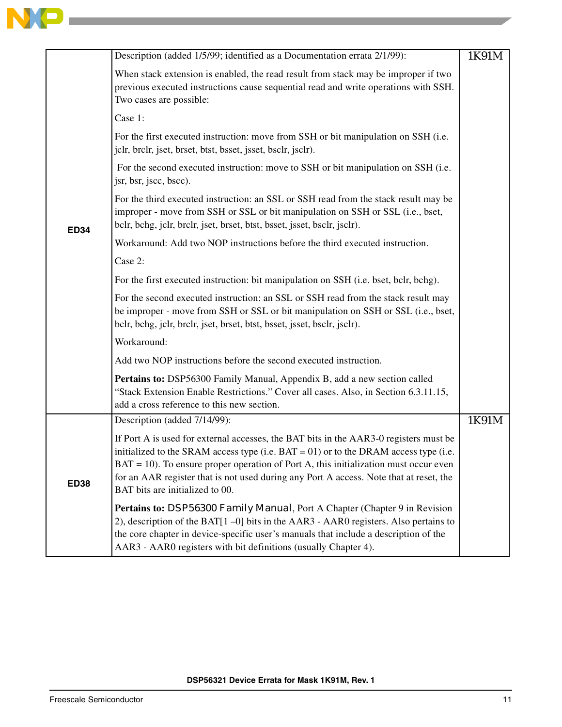

|             | Description (added 1/5/99; identified as a Documentation errata 2/1/99):                                                                                                                                                                                                                                                                                                                                 | 1K91M |
|-------------|----------------------------------------------------------------------------------------------------------------------------------------------------------------------------------------------------------------------------------------------------------------------------------------------------------------------------------------------------------------------------------------------------------|-------|
|             | When stack extension is enabled, the read result from stack may be improper if two<br>previous executed instructions cause sequential read and write operations with SSH.<br>Two cases are possible:                                                                                                                                                                                                     |       |
|             | Case 1:                                                                                                                                                                                                                                                                                                                                                                                                  |       |
|             | For the first executed instruction: move from SSH or bit manipulation on SSH (i.e.<br>jclr, brclr, jset, brset, btst, bsset, jsset, bsclr, jsclr).                                                                                                                                                                                                                                                       |       |
|             | For the second executed instruction: move to SSH or bit manipulation on SSH (i.e.<br>jsr, bsr, jscc, bscc).                                                                                                                                                                                                                                                                                              |       |
| <b>ED34</b> | For the third executed instruction: an SSL or SSH read from the stack result may be<br>improper - move from SSH or SSL or bit manipulation on SSH or SSL (i.e., bset,<br>bclr, bchg, jclr, brclr, jset, brset, btst, bsset, jsset, bsclr, jsclr).                                                                                                                                                        |       |
|             | Workaround: Add two NOP instructions before the third executed instruction.                                                                                                                                                                                                                                                                                                                              |       |
|             | Case 2:                                                                                                                                                                                                                                                                                                                                                                                                  |       |
|             | For the first executed instruction: bit manipulation on SSH (i.e. bset, bclr, bchg).                                                                                                                                                                                                                                                                                                                     |       |
|             | For the second executed instruction: an SSL or SSH read from the stack result may<br>be improper - move from SSH or SSL or bit manipulation on SSH or SSL (i.e., bset,<br>bclr, bchg, jclr, brclr, jset, brset, btst, bsset, jsset, bsclr, jsclr).                                                                                                                                                       |       |
|             | Workaround:                                                                                                                                                                                                                                                                                                                                                                                              |       |
|             | Add two NOP instructions before the second executed instruction.                                                                                                                                                                                                                                                                                                                                         |       |
|             | Pertains to: DSP56300 Family Manual, Appendix B, add a new section called<br>"Stack Extension Enable Restrictions." Cover all cases. Also, in Section 6.3.11.15,<br>add a cross reference to this new section.                                                                                                                                                                                           |       |
|             | Description (added 7/14/99):                                                                                                                                                                                                                                                                                                                                                                             | 1K91M |
| <b>ED38</b> | If Port A is used for external accesses, the BAT bits in the AAR3-0 registers must be<br>initialized to the SRAM access type (i.e. $BAT = 01$ ) or to the DRAM access type (i.e.<br>$BAT = 10$ ). To ensure proper operation of Port A, this initialization must occur even<br>for an AAR register that is not used during any Port A access. Note that at reset, the<br>BAT bits are initialized to 00. |       |
|             | Pertains to: DSP56300 Family Manual, Port A Chapter (Chapter 9 in Revision<br>2), description of the BAT[1-0] bits in the AAR3 - AAR0 registers. Also pertains to<br>the core chapter in device-specific user's manuals that include a description of the<br>AAR3 - AAR0 registers with bit definitions (usually Chapter 4).                                                                             |       |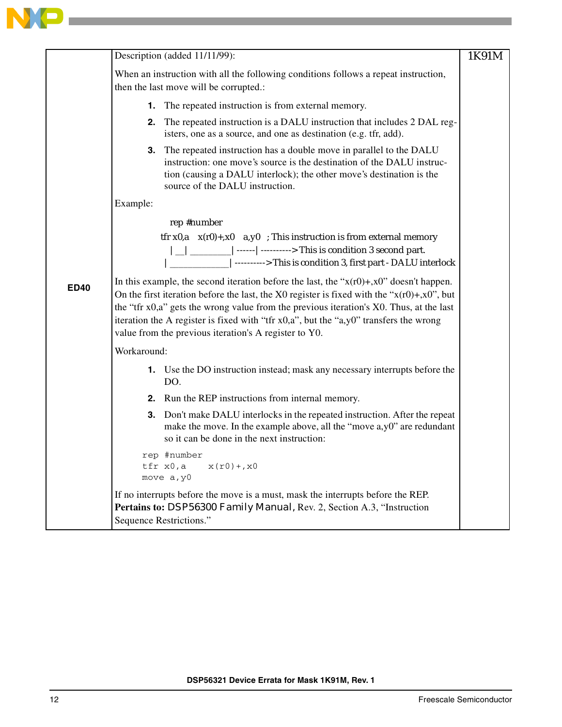

|             | Description (added 11/11/99):                                                                                                                                                                                                                                                                                                                                                                                                                  | 1K91M |
|-------------|------------------------------------------------------------------------------------------------------------------------------------------------------------------------------------------------------------------------------------------------------------------------------------------------------------------------------------------------------------------------------------------------------------------------------------------------|-------|
|             | When an instruction with all the following conditions follows a repeat instruction,<br>then the last move will be corrupted.:                                                                                                                                                                                                                                                                                                                  |       |
|             | <b>1.</b> The repeated instruction is from external memory.                                                                                                                                                                                                                                                                                                                                                                                    |       |
|             | <b>2.</b> The repeated instruction is a DALU instruction that includes 2 DAL reg-<br>isters, one as a source, and one as destination (e.g. tfr, add).                                                                                                                                                                                                                                                                                          |       |
|             | 3. The repeated instruction has a double move in parallel to the DALU<br>instruction: one move's source is the destination of the DALU instruc-<br>tion (causing a DALU interlock); the other move's destination is the<br>source of the DALU instruction.                                                                                                                                                                                     |       |
|             | Example:                                                                                                                                                                                                                                                                                                                                                                                                                                       |       |
|             | rep #number                                                                                                                                                                                                                                                                                                                                                                                                                                    |       |
| <b>ED40</b> | tfr $x0$ , $a \times (r0) + x0$ a, $y0$ ; This instruction is from external memory<br>$ $ <sub>__</sub>  ___________ ------ ---------> This is condition 3 second part.<br>------------------------------> This is condition 3, first part - DALU interlock                                                                                                                                                                                    |       |
|             | In this example, the second iteration before the last, the " $x(r0) + x0$ " doesn't happen.<br>On the first iteration before the last, the X0 register is fixed with the " $x(r0) + x0$ ", but<br>the "tfr x0,a" gets the wrong value from the previous iteration's X0. Thus, at the last<br>iteration the A register is fixed with "tfr $x0$ ,a", but the "a,y0" transfers the wrong<br>value from the previous iteration's A register to Y0. |       |
|             | Workaround:                                                                                                                                                                                                                                                                                                                                                                                                                                    |       |
|             | 1. Use the DO instruction instead; mask any necessary interrupts before the<br>DO.                                                                                                                                                                                                                                                                                                                                                             |       |
|             | 2. Run the REP instructions from internal memory.                                                                                                                                                                                                                                                                                                                                                                                              |       |
|             | 3. Don't make DALU interlocks in the repeated instruction. After the repeat<br>make the move. In the example above, all the "move a,y0" are redundant<br>so it can be done in the next instruction:                                                                                                                                                                                                                                            |       |
|             | rep #number<br>tfr x0,a<br>$x(r0) + x0$<br>move a, y0                                                                                                                                                                                                                                                                                                                                                                                          |       |
|             | If no interrupts before the move is a must, mask the interrupts before the REP.<br>Pertains to: DSP56300 Family Manual, Rev. 2, Section A.3, "Instruction<br>Sequence Restrictions."                                                                                                                                                                                                                                                           |       |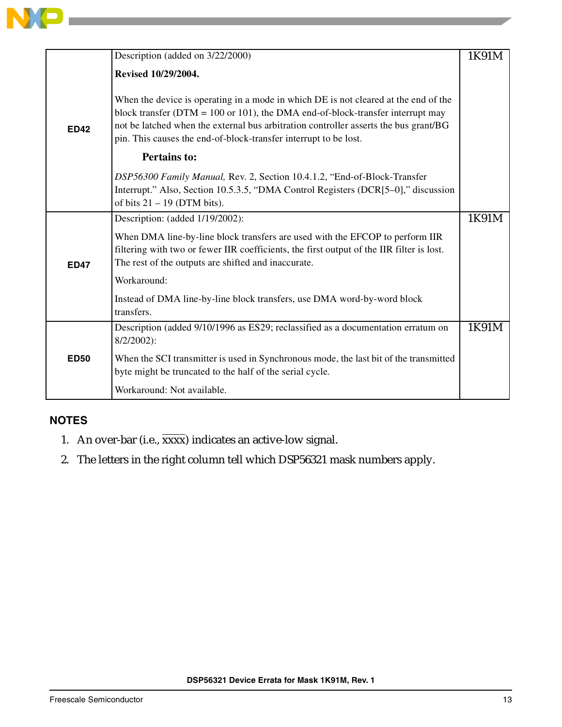

|             | Description (added on 3/22/2000)                                                                                                                                                                                                                                                                                                     | 1K91M |
|-------------|--------------------------------------------------------------------------------------------------------------------------------------------------------------------------------------------------------------------------------------------------------------------------------------------------------------------------------------|-------|
|             | Revised 10/29/2004.                                                                                                                                                                                                                                                                                                                  |       |
| <b>ED42</b> | When the device is operating in a mode in which DE is not cleared at the end of the<br>block transfer ( $DTM = 100$ or 101), the DMA end-of-block-transfer interrupt may<br>not be latched when the external bus arbitration controller asserts the bus grant/BG<br>pin. This causes the end-of-block-transfer interrupt to be lost. |       |
|             | <b>Pertains to:</b>                                                                                                                                                                                                                                                                                                                  |       |
|             | DSP56300 Family Manual, Rev. 2, Section 10.4.1.2, "End-of-Block-Transfer<br>Interrupt." Also, Section 10.5.3.5, "DMA Control Registers (DCR[5-0]," discussion<br>of bits $21 - 19$ (DTM bits).                                                                                                                                       |       |
|             | Description: (added 1/19/2002):                                                                                                                                                                                                                                                                                                      | 1K91M |
| <b>ED47</b> | When DMA line-by-line block transfers are used with the EFCOP to perform IIR<br>filtering with two or fewer IIR coefficients, the first output of the IIR filter is lost.<br>The rest of the outputs are shifted and inaccurate.                                                                                                     |       |
|             | Workaround:                                                                                                                                                                                                                                                                                                                          |       |
|             | Instead of DMA line-by-line block transfers, use DMA word-by-word block<br>transfers.                                                                                                                                                                                                                                                |       |
|             | Description (added 9/10/1996 as ES29; reclassified as a documentation erratum on<br>$8/2/2002$ :                                                                                                                                                                                                                                     | 1K91M |
| <b>ED50</b> | When the SCI transmitter is used in Synchronous mode, the last bit of the transmitted<br>byte might be truncated to the half of the serial cycle.                                                                                                                                                                                    |       |
|             | Workaround: Not available.                                                                                                                                                                                                                                                                                                           |       |

# **NOTES**

- 1. An over-bar (i.e., xxxx) indicates an active-low signal.
- 2. The letters in the right column tell which DSP56321 mask numbers apply.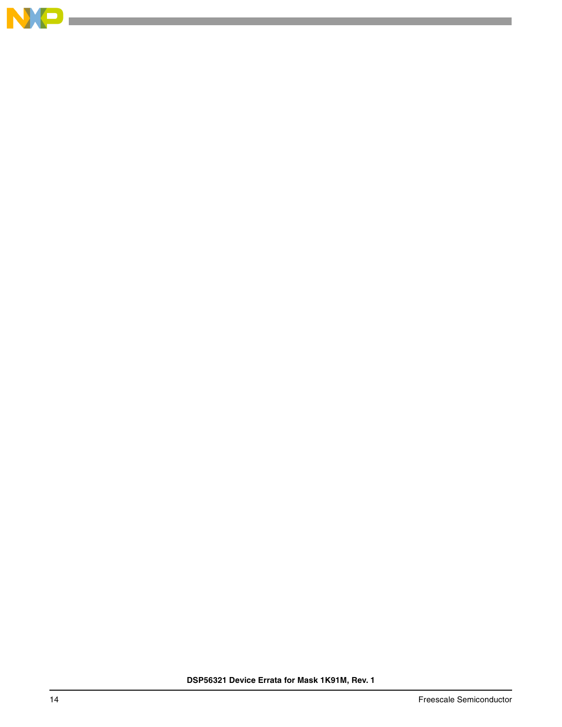

**DSP56321 Device Errata for Mask 1K91M, Rev. 1**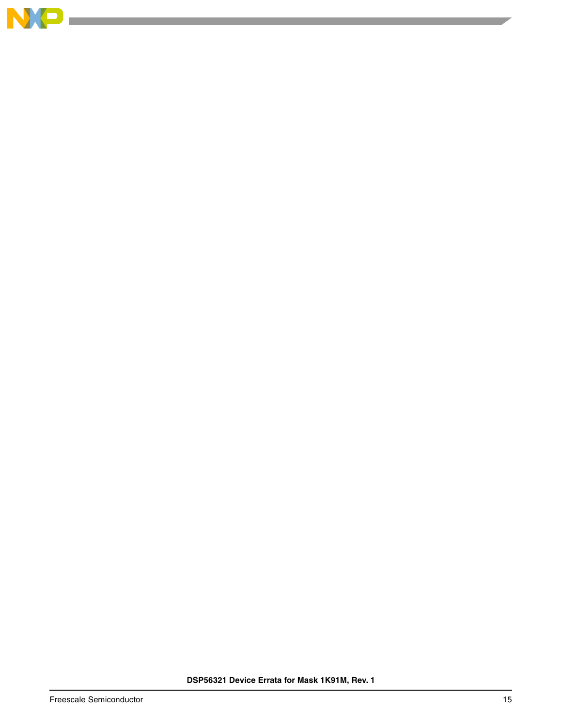

**DSP56321 Device Errata for Mask 1K91M, Rev. 1**